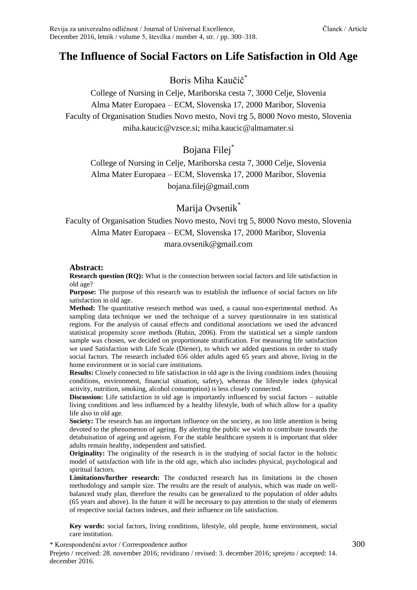# **The Influence of Social Factors on Life Satisfaction in Old Age**

Boris Miha Kaučič\*

College of Nursing in Celje, Mariborska cesta 7, 3000 Celje, Slovenia Alma Mater Europaea – ECM, Slovenska 17, 2000 Maribor, Slovenia Faculty of Organisation Studies Novo mesto, Novi trg 5, 8000 Novo mesto, Slovenia miha.kaucic@vzsce.si; miha.kaucic@almamater.si

# Bojana Filej\*

College of Nursing in Celje, Mariborska cesta 7, 3000 Celje, Slovenia Alma Mater Europaea – ECM, Slovenska 17, 2000 Maribor, Slovenia bojana.filej@gmail.com

Marija Ovsenik<sup>\*</sup>

#### Faculty of Organisation Studies Novo mesto, Novi trg 5, 8000 Novo mesto, Slovenia Alma Mater Europaea – ECM, Slovenska 17, 2000 Maribor, Slovenia mara.ovsenik@gmail.com

#### **Abstract:**

**Research question (RQ):** What is the connection between social factors and life satisfaction in old age?

**Purpose:** The purpose of this research was to establish the influence of social factors on life satisfaction in old age.

**Method:** The quantitative research method was used, a causal non-experimental method. As sampling data technique we used the technique of a survey questionnaire in ten statistical regions. For the analysis of causal effects and conditional associations we used the advanced statistical propensity score methods (Rubin, 2006). From the statistical set a simple random sample was chosen, we decided on proportionate stratification. For measuring life satisfaction we used Satisfaction with Life Scale (Diener), to which we added questions in order to study social factors. The research included 656 older adults aged 65 years and above, living in the home environment or in social care institutions.

**Results:** Closely connected to life satisfaction in old age is the living conditions index (housing conditions, environment, financial situation, safety), whereas the lifestyle index (physical activity, nutrition, smoking, alcohol consumption) is less closely connected.

**Discussion:** Life satisfaction in old age is importantly influenced by social factors – suitable living conditions and less influenced by a healthy lifestyle, both of which allow for a quality life also in old age.

**Society:** The research has an important influence on the society, as too little attention is being devoted to the phenomenon of ageing. By alerting the public we wish to contribute towards the detabuisation of ageing and ageism. For the stable healthcare system it is important that older adults remain healthy, independent and satisfied.

**Originality:** The originality of the research is in the studying of social factor in the holistic model of satisfaction with life in the old age, which also includes physical, psychological and spiritual factors.

**Limitations/further research:** The conducted research has its limitations in the chosen methodology and sample size. The results are the result of analysis, which was made on wellbalanced study plan, therefore the results can be generalized to the population of older adults (65 years and above). In the future it will be necessary to pay attention to the study of elements of respective social factors indexes, and their influence on life satisfaction.

**Key words:** social factors, living conditions, lifestyle, old people, home environment, social care institution.

\* Korespondenčni avtor / Correspondence author 300

Prejeto / received: 28. november 2016; revidirano / revised: 3. december 2016; sprejeto / accepted: 14. december 2016.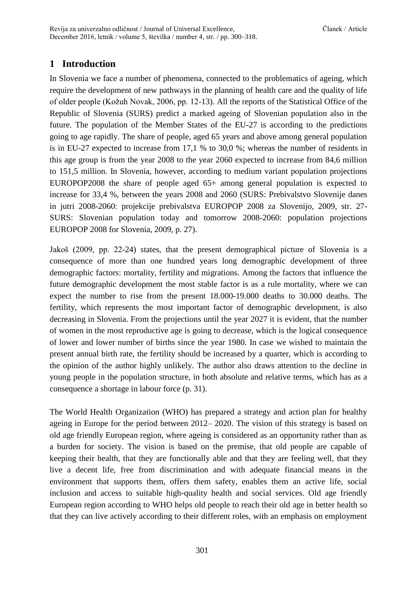# **1 Introduction**

In Slovenia we face a number of phenomena, connected to the problematics of ageing, which require the development of new pathways in the planning of health care and the quality of life of older people (Kožuh Novak, 2006, pp. 12-13). All the reports of the Statistical Office of the Republic of Slovenia (SURS) predict a marked ageing of Slovenian population also in the future. The population of the Member States of the EU-27 is according to the predictions going to age rapidly. The share of people, aged 65 years and above among general population is in EU-27 expected to increase from 17,1 % to 30,0 %; whereas the number of residents in this age group is from the year 2008 to the year 2060 expected to increase from 84,6 million to 151,5 million. In Slovenia, however, according to medium variant population projections EUROPOP2008 the share of people aged 65+ among general population is expected to increase for 33,4 %, between the years 2008 and 2060 (SURS: Prebivalstvo Slovenije danes in jutri 2008-2060: projekcije prebivalstva EUROPOP 2008 za Slovenijo, 2009, str. 27- SURS: Slovenian population today and tomorrow 2008-2060: population projections EUROPOP 2008 for Slovenia, 2009, p. 27).

Jakoš (2009, pp. 22-24) states, that the present demographical picture of Slovenia is a consequence of more than one hundred years long demographic development of three demographic factors: mortality, fertility and migrations. Among the factors that influence the future demographic development the most stable factor is as a rule mortality, where we can expect the number to rise from the present 18.000-19.000 deaths to 30.000 deaths. The fertility, which represents the most important factor of demographic development, is also decreasing in Slovenia. From the projections until the year 2027 it is evident, that the number of women in the most reproductive age is going to decrease, which is the logical consequence of lower and lower number of births since the year 1980. In case we wished to maintain the present annual birth rate, the fertility should be increased by a quarter, which is according to the opinion of the author highly unlikely. The author also draws attention to the decline in young people in the population structure, in both absolute and relative terms, which has as a consequence a shortage in labour force (p. 31).

The World Health Organization (WHO) has prepared a strategy and action plan for healthy ageing in Europe for the period between 2012– 2020. The vision of this strategy is based on old age friendly European region, where ageing is considered as an opportunity rather than as a burden for society. The vision is based on the premise, that old people are capable of keeping their health, that they are functionally able and that they are feeling well, that they live a decent life, free from discrimination and with adequate financial means in the environment that supports them, offers them safety, enables them an active life, social inclusion and access to suitable high-quality health and social services. Old age friendly European region according to WHO helps old people to reach their old age in better health so that they can live actively according to their different roles, with an emphasis on employment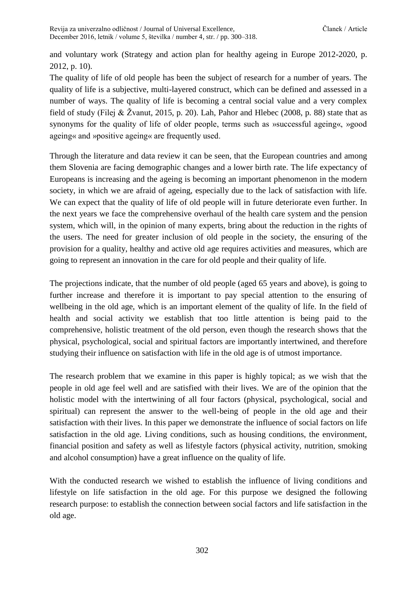and voluntary work (Strategy and action plan for healthy ageing in Europe 2012-2020, p. 2012, p. 10).

The quality of life of old people has been the subject of research for a number of years. The quality of life is a subjective, multi-layered construct, which can be defined and assessed in a number of ways. The quality of life is becoming a central social value and a very complex field of study (Filej & Žvanut, 2015, p. 20). Lah, Pahor and Hlebec (2008, p. 88) state that as synonyms for the quality of life of older people, terms such as »successful ageing«, »good ageing« and »positive ageing« are frequently used.

Through the literature and data review it can be seen, that the European countries and among them Slovenia are facing demographic changes and a lower birth rate. The life expectancy of Europeans is increasing and the ageing is becoming an important phenomenon in the modern society, in which we are afraid of ageing, especially due to the lack of satisfaction with life. We can expect that the quality of life of old people will in future deteriorate even further. In the next years we face the comprehensive overhaul of the health care system and the pension system, which will, in the opinion of many experts, bring about the reduction in the rights of the users. The need for greater inclusion of old people in the society, the ensuring of the provision for a quality, healthy and active old age requires activities and measures, which are going to represent an innovation in the care for old people and their quality of life.

The projections indicate, that the number of old people (aged 65 years and above), is going to further increase and therefore it is important to pay special attention to the ensuring of wellbeing in the old age, which is an important element of the quality of life. In the field of health and social activity we establish that too little attention is being paid to the comprehensive, holistic treatment of the old person, even though the research shows that the physical, psychological, social and spiritual factors are importantly intertwined, and therefore studying their influence on satisfaction with life in the old age is of utmost importance.

The research problem that we examine in this paper is highly topical; as we wish that the people in old age feel well and are satisfied with their lives. We are of the opinion that the holistic model with the intertwining of all four factors (physical, psychological, social and spiritual) can represent the answer to the well-being of people in the old age and their satisfaction with their lives. In this paper we demonstrate the influence of social factors on life satisfaction in the old age. Living conditions, such as housing conditions, the environment, financial position and safety as well as lifestyle factors (physical activity, nutrition, smoking and alcohol consumption) have a great influence on the quality of life.

With the conducted research we wished to establish the influence of living conditions and lifestyle on life satisfaction in the old age. For this purpose we designed the following research purpose: to establish the connection between social factors and life satisfaction in the old age.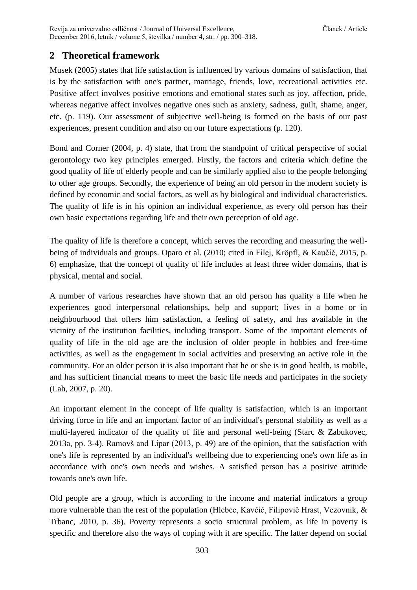### **2 Theoretical framework**

Musek (2005) states that life satisfaction is influenced by various domains of satisfaction, that is by the satisfaction with one's partner, marriage, friends, love, recreational activities etc. Positive affect involves positive emotions and emotional states such as joy, affection, pride, whereas negative affect involves negative ones such as anxiety, sadness, guilt, shame, anger, etc. (p. 119). Our assessment of subjective well-being is formed on the basis of our past experiences, present condition and also on our future expectations (p. 120).

Bond and Corner (2004, p. 4) state, that from the standpoint of critical perspective of social gerontology two key principles emerged. Firstly, the factors and criteria which define the good quality of life of elderly people and can be similarly applied also to the people belonging to other age groups. Secondly, the experience of being an old person in the modern society is defined by economic and social factors, as well as by biological and individual characteristics. The quality of life is in his opinion an individual experience, as every old person has their own basic expectations regarding life and their own perception of old age.

The quality of life is therefore a concept, which serves the recording and measuring the wellbeing of individuals and groups. Oparo et al. (2010; cited in Filej, Kröpfl, & Kaučič, 2015, p. 6) emphasize, that the concept of quality of life includes at least three wider domains, that is physical, mental and social.

A number of various researches have shown that an old person has quality a life when he experiences good interpersonal relationships, help and support; lives in a home or in neighbourhood that offers him satisfaction, a feeling of safety, and has available in the vicinity of the institution facilities, including transport. Some of the important elements of quality of life in the old age are the inclusion of older people in hobbies and free-time activities, as well as the engagement in social activities and preserving an active role in the community. For an older person it is also important that he or she is in good health, is mobile, and has sufficient financial means to meet the basic life needs and participates in the society (Lah, 2007, p. 20).

An important element in the concept of life quality is satisfaction, which is an important driving force in life and an important factor of an individual's personal stability as well as a multi-layered indicator of the quality of life and personal well-being (Starc & Zabukovec, 2013a, pp. 3-4). Ramovš and Lipar (2013, p. 49) are of the opinion, that the satisfaction with one's life is represented by an individual's wellbeing due to experiencing one's own life as in accordance with one's own needs and wishes. A satisfied person has a positive attitude towards one's own life.

Old people are a group, which is according to the income and material indicators a group more vulnerable than the rest of the population (Hlebec, Kavčič, Filipovič Hrast, Vezovnik, & Trbanc, 2010, p. 36). Poverty represents a socio structural problem, as life in poverty is specific and therefore also the ways of coping with it are specific. The latter depend on social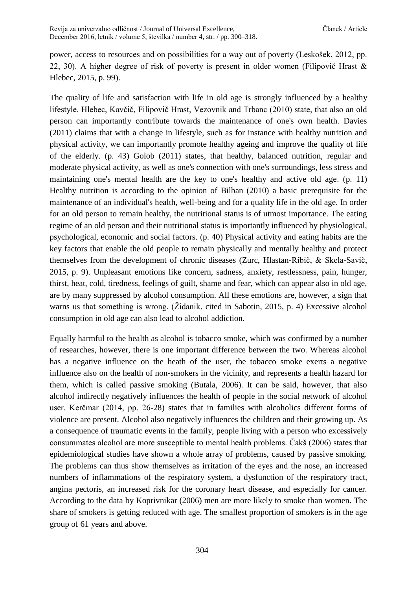power, access to resources and on possibilities for a way out of poverty (Leskošek, 2012, pp. 22, 30). A higher degree of risk of poverty is present in older women (Filipovič Hrast & Hlebec, 2015, p. 99).

The quality of life and satisfaction with life in old age is strongly influenced by a healthy lifestyle. Hlebec, Kavčič, Filipovič Hrast, Vezovnik and Trbanc (2010) state, that also an old person can importantly contribute towards the maintenance of one's own health. Davies (2011) claims that with a change in lifestyle, such as for instance with healthy nutrition and physical activity, we can importantly promote healthy ageing and improve the quality of life of the elderly. (p. 43) Golob (2011) states, that healthy, balanced nutrition, regular and moderate physical activity, as well as one's connection with one's surroundings, less stress and maintaining one's mental health are the key to one's healthy and active old age. (p. 11) Healthy nutrition is according to the opinion of Bilban (2010) a basic prerequisite for the maintenance of an individual's health, well-being and for a quality life in the old age. In order for an old person to remain healthy, the nutritional status is of utmost importance. The eating regime of an old person and their nutritional status is importantly influenced by physiological, psychological, economic and social factors. (p. 40) Physical activity and eating habits are the key factors that enable the old people to remain physically and mentally healthy and protect themselves from the development of chronic diseases (Zurc, Hlastan-Ribič, & Skela-Savič, 2015, p. 9). Unpleasant emotions like concern, sadness, anxiety, restlessness, pain, hunger, thirst, heat, cold, tiredness, feelings of guilt, shame and fear, which can appear also in old age, are by many suppressed by alcohol consumption. All these emotions are, however, a sign that warns us that something is wrong. (Židanik, cited in Sabotin, 2015, p. 4) Excessive alcohol consumption in old age can also lead to alcohol addiction.

Equally harmful to the health as alcohol is tobacco smoke, which was confirmed by a number of researches, however, there is one important difference between the two. Whereas alcohol has a negative influence on the heath of the user, the tobacco smoke exerts a negative influence also on the health of non-smokers in the vicinity, and represents a health hazard for them, which is called passive smoking (Butala, 2006). It can be said, however, that also alcohol indirectly negatively influences the health of people in the social network of alcohol user. Kerčmar (2014, pp. 26-28) states that in families with alcoholics different forms of violence are present. Alcohol also negatively influences the children and their growing up. As a consequence of traumatic events in the family, people living with a person who excessively consummates alcohol are more susceptible to mental health problems. Čakš (2006) states that epidemiological studies have shown a whole array of problems, caused by passive smoking. The problems can thus show themselves as irritation of the eyes and the nose, an increased numbers of inflammations of the respiratory system, a dysfunction of the respiratory tract, angina pectoris, an increased risk for the coronary heart disease, and especially for cancer. According to the data by Koprivnikar (2006) men are more likely to smoke than women. The share of smokers is getting reduced with age. The smallest proportion of smokers is in the age group of 61 years and above.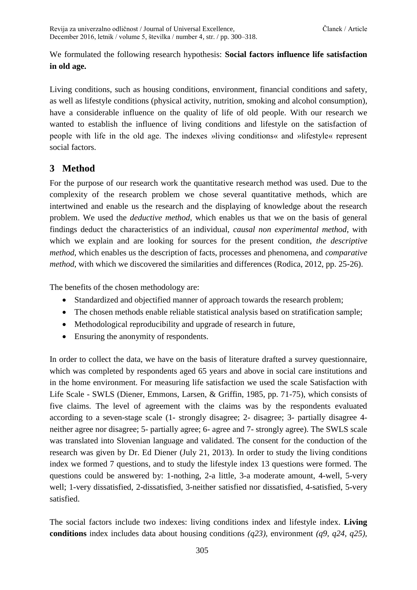We formulated the following research hypothesis: **Social factors influence life satisfaction in old age.**

Living conditions, such as housing conditions, environment, financial conditions and safety, as well as lifestyle conditions (physical activity, nutrition, smoking and alcohol consumption), have a considerable influence on the quality of life of old people. With our research we wanted to establish the influence of living conditions and lifestyle on the satisfaction of people with life in the old age. The indexes »living conditions« and »lifestyle« represent social factors.

### **3 Method**

For the purpose of our research work the quantitative research method was used. Due to the complexity of the research problem we chose several quantitative methods, which are intertwined and enable us the research and the displaying of knowledge about the research problem. We used the *deductive method*, which enables us that we on the basis of general findings deduct the characteristics of an individual, *causal non experimental method*, with which we explain and are looking for sources for the present condition, *the descriptive method*, which enables us the description of facts, processes and phenomena, and *comparative method*, with which we discovered the similarities and differences (Rodica, 2012, pp. 25-26).

The benefits of the chosen methodology are:

- Standardized and objectified manner of approach towards the research problem;
- The chosen methods enable reliable statistical analysis based on stratification sample;
- Methodological reproducibility and upgrade of research in future,
- Ensuring the anonymity of respondents.

In order to collect the data, we have on the basis of literature drafted a survey questionnaire, which was completed by respondents aged 65 years and above in social care institutions and in the home environment. For measuring life satisfaction we used the scale Satisfaction with Life Scale - SWLS (Diener, Emmons, Larsen, & Griffin, 1985, pp. 71-75), which consists of five claims. The level of agreement with the claims was by the respondents evaluated according to a seven-stage scale (1- strongly disagree; 2- disagree; 3- partially disagree 4 neither agree nor disagree; 5- partially agree; 6- agree and 7- strongly agree). The SWLS scale was translated into Slovenian language and validated. The consent for the conduction of the research was given by Dr. Ed Diener (July 21, 2013). In order to study the living conditions index we formed 7 questions, and to study the lifestyle index 13 questions were formed. The questions could be answered by: 1-nothing, 2-a little, 3-a moderate amount, 4-well, 5-very well; 1-very dissatisfied, 2-dissatisfied, 3-neither satisfied nor dissatisfied, 4-satisfied, 5-very satisfied.

The social factors include two indexes: living conditions index and lifestyle index. **Living conditions** index includes data about housing conditions *(q23),* environment *(q9, q24, q25),*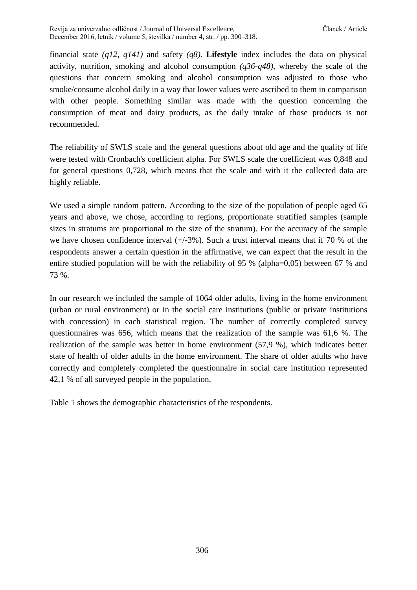financial state *(q12, q141)* and safety *(q8).* **Lifestyle** index includes the data on physical activity, nutrition, smoking and alcohol consumption *(q36-q48),* whereby the scale of the questions that concern smoking and alcohol consumption was adjusted to those who smoke/consume alcohol daily in a way that lower values were ascribed to them in comparison with other people. Something similar was made with the question concerning the consumption of meat and dairy products, as the daily intake of those products is not recommended.

The reliability of SWLS scale and the general questions about old age and the quality of life were tested with Cronbach's coefficient alpha. For SWLS scale the coefficient was 0,848 and for general questions 0,728, which means that the scale and with it the collected data are highly reliable.

We used a simple random pattern. According to the size of the population of people aged 65 years and above, we chose, according to regions, proportionate stratified samples (sample sizes in stratums are proportional to the size of the stratum). For the accuracy of the sample we have chosen confidence interval  $(+/-3%)$ . Such a trust interval means that if 70 % of the respondents answer a certain question in the affirmative, we can expect that the result in the entire studied population will be with the reliability of 95 % (alpha=0,05) between 67 % and 73 %.

In our research we included the sample of 1064 older adults, living in the home environment (urban or rural environment) or in the social care institutions (public or private institutions with concession) in each statistical region. The number of correctly completed survey questionnaires was 656, which means that the realization of the sample was 61,6 %. The realization of the sample was better in home environment (57,9 %), which indicates better state of health of older adults in the home environment. The share of older adults who have correctly and completely completed the questionnaire in social care institution represented 42,1 % of all surveyed people in the population.

Table 1 shows the demographic characteristics of the respondents.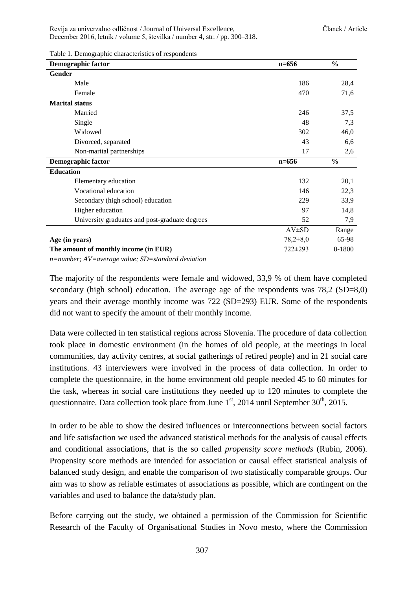Table 1. Demographic characteristics of respondents

| <b>Demographic factor</b>                      | $n=656$        | $\frac{0}{0}$ |
|------------------------------------------------|----------------|---------------|
| Gender                                         |                |               |
| Male                                           | 186            | 28,4          |
| Female                                         | 470            | 71,6          |
| <b>Marital</b> status                          |                |               |
| Married                                        | 246            | 37,5          |
| Single                                         | 48             | 7,3           |
| Widowed                                        | 302            | 46,0          |
| Divorced, separated                            | 43             | 6,6           |
| Non-marital partnerships                       | 17             | 2,6           |
| <b>Demographic factor</b>                      | $n = 656$      | $\frac{6}{6}$ |
| <b>Education</b>                               |                |               |
| Elementary education                           | 132            | 20,1          |
| Vocational education                           | 146            | 22,3          |
| Secondary (high school) education              | 229            | 33,9          |
| Higher education                               | 97             | 14,8          |
| University graduates and post-graduate degrees | 52             | 7,9           |
|                                                | $AV\pm SD$     | Range         |
| Age (in years)                                 | $78,2{\pm}8,0$ | 65-98         |
| The amount of monthly income (in EUR)          | $722 \pm 293$  | 0-1800        |

*n=number; AV=average value; SD=standard deviation*

The majority of the respondents were female and widowed, 33,9 % of them have completed secondary (high school) education. The average age of the respondents was 78,2 (SD=8,0) years and their average monthly income was 722 (SD=293) EUR. Some of the respondents did not want to specify the amount of their monthly income.

Data were collected in ten statistical regions across Slovenia. The procedure of data collection took place in domestic environment (in the homes of old people, at the meetings in local communities, day activity centres, at social gatherings of retired people) and in 21 social care institutions. 43 interviewers were involved in the process of data collection. In order to complete the questionnaire, in the home environment old people needed 45 to 60 minutes for the task, whereas in social care institutions they needed up to 120 minutes to complete the questionnaire. Data collection took place from June  $1<sup>st</sup>$ , 2014 until September 30<sup>th</sup>, 2015.

In order to be able to show the desired influences or interconnections between social factors and life satisfaction we used the advanced statistical methods for the analysis of causal effects and conditional associations, that is the so called *propensity score methods* (Rubin, 2006). Propensity score methods are intended for association or causal effect statistical analysis of balanced study design, and enable the comparison of two statistically comparable groups. Our aim was to show as reliable estimates of associations as possible, which are contingent on the variables and used to balance the data/study plan.

Before carrying out the study, we obtained a permission of the Commission for Scientific Research of the Faculty of Organisational Studies in Novo mesto, where the Commission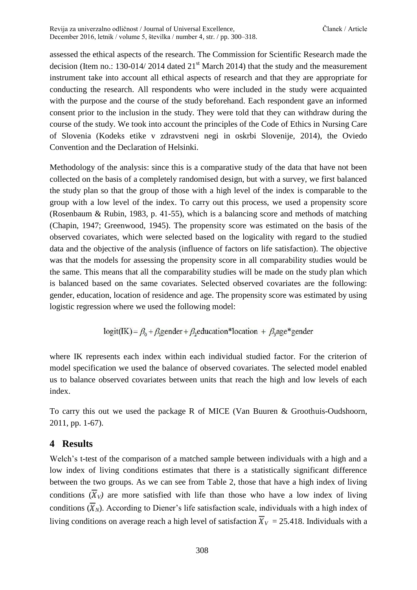assessed the ethical aspects of the research. The Commission for Scientific Research made the decision (Item no.: 130-014/ 2014 dated  $21<sup>st</sup>$  March 2014) that the study and the measurement instrument take into account all ethical aspects of research and that they are appropriate for conducting the research. All respondents who were included in the study were acquainted with the purpose and the course of the study beforehand. Each respondent gave an informed consent prior to the inclusion in the study. They were told that they can withdraw during the course of the study. We took into account the principles of the Code of Ethics in Nursing Care of Slovenia (Kodeks etike v zdravstveni negi in oskrbi Slovenije, 2014), the Oviedo Convention and the Declaration of Helsinki.

Methodology of the analysis: since this is a comparative study of the data that have not been collected on the basis of a completely randomised design, but with a survey, we first balanced the study plan so that the group of those with a high level of the index is comparable to the group with a low level of the index. To carry out this process, we used a propensity score (Rosenbaum & Rubin, 1983, p. 41-55), which is a balancing score and methods of matching (Chapin, 1947; Greenwood, 1945). The propensity score was estimated on the basis of the observed covariates, which were selected based on the logicality with regard to the studied data and the objective of the analysis (influence of factors on life satisfaction). The objective was that the models for assessing the propensity score in all comparability studies would be the same. This means that all the comparability studies will be made on the study plan which is balanced based on the same covariates. Selected observed covariates are the following: gender, education, location of residence and age. The propensity score was estimated by using logistic regression where we used the following model:

$$
logit(IK) = \beta_0 + \beta_1 gender + \beta_2 education * location + \beta_3 age * gender
$$

where IK represents each index within each individual studied factor. For the criterion of model specification we used the balance of observed covariates. The selected model enabled us to balance observed covariates between units that reach the high and low levels of each index.

To carry this out we used the package R of MICE (Van Buuren & Groothuis-Oudshoorn, 2011, pp. 1-67).

### **4 Results**

Welch's t-test of the comparison of a matched sample between individuals with a high and a low index of living conditions estimates that there is a statistically significant difference between the two groups. As we can see from Table 2, those that have a high index of living conditions  $(\overline{X}_V)$  are more satisfied with life than those who have a low index of living conditions  $(\overline{X}_N)$ . According to Diener's life satisfaction scale, individuals with a high index of living conditions on average reach a high level of satisfaction  $\overline{X}_V = 25.418$ . Individuals with a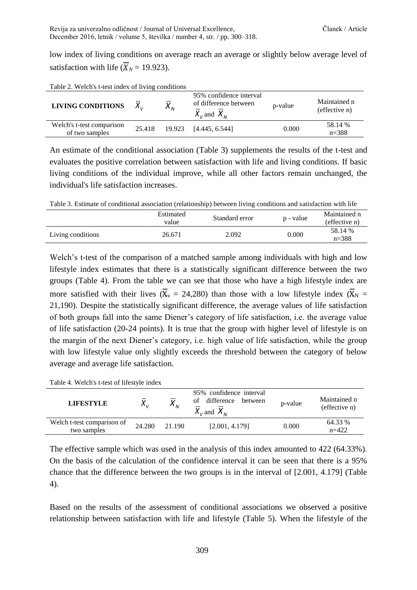low index of living conditions on average reach an average or slightly below average level of satisfaction with life  $(\overline{X}_N = 19.923)$ .

| $\frac{1}{2}$ ave $\frac{2}{3}$ . Weights t-test flues of fiving conditions |        |          |                                                                     |         |                               |
|-----------------------------------------------------------------------------|--------|----------|---------------------------------------------------------------------|---------|-------------------------------|
| <b>LIVING CONDITIONS</b>                                                    |        | $X_{_N}$ | 95% confidence interval<br>of difference between<br>$X_v$ and $X_w$ | p-value | Maintained n<br>(effective n) |
| Welch's t-test comparison<br>of two samples                                 | 25.418 |          | 19.923 [4.445, 6.544]                                               | 0.000   | 58.14 %<br>$n = 388$          |

Table 2. Welch's t-test index of living conditions

An estimate of the conditional association (Table 3) supplements the results of the t-test and evaluates the positive correlation between satisfaction with life and living conditions. If basic living conditions of the individual improve, while all other factors remain unchanged, the individual's life satisfaction increases.

Table 3. Estimate of conditional association (relationship) between living conditions and satisfaction with life

|                   | Estimated<br>value | Standard error | p - value | Maintained n<br>(effective n) |
|-------------------|--------------------|----------------|-----------|-------------------------------|
| Living conditions | 26.671             | 2.092          | 0.000     | 58.14 %<br>$n = 388$          |

Welch's t-test of the comparison of a matched sample among individuals with high and low lifestyle index estimates that there is a statistically significant difference between the two groups (Table 4). From the table we can see that those who have a high lifestyle index are more satisfied with their lives ( $\overline{X}_v = 24,280$ ) than those with a low lifestyle index ( $\overline{X}_N =$ 21,190). Despite the statistically significant difference, the average values of life satisfaction of both groups fall into the same Diener's category of life satisfaction, i.e. the average value of life satisfaction (20-24 points). It is true that the group with higher level of lifestyle is on the margin of the next Diener's category, i.e. high value of life satisfaction, while the group with low lifestyle value only slightly exceeds the threshold between the category of below average and average life satisfaction.

Table 4. Welch's t-test of lifestyle index

| <b>LIFESTYLE</b>                          | $\mathbf{v}_U$ | $X_{_N}$ | 95% confidence interval<br>difference<br>between<br>ot<br>$\overline{X}_{V}$ and $\overline{X}_{N}$ | p-value | Maintained n<br>(effective n) |
|-------------------------------------------|----------------|----------|-----------------------------------------------------------------------------------------------------|---------|-------------------------------|
| Welch t-test comparison of<br>two samples | 24.280         | 21.190   | [2.001, 4.179]                                                                                      | 0.000   | 64.33 %<br>$n=422$            |

The effective sample which was used in the analysis of this index amounted to 422 (64.33%). On the basis of the calculation of the confidence interval it can be seen that there is a 95% chance that the difference between the two groups is in the interval of [2.001, 4.179] (Table 4).

Based on the results of the assessment of conditional associations we observed a positive relationship between satisfaction with life and lifestyle (Table 5). When the lifestyle of the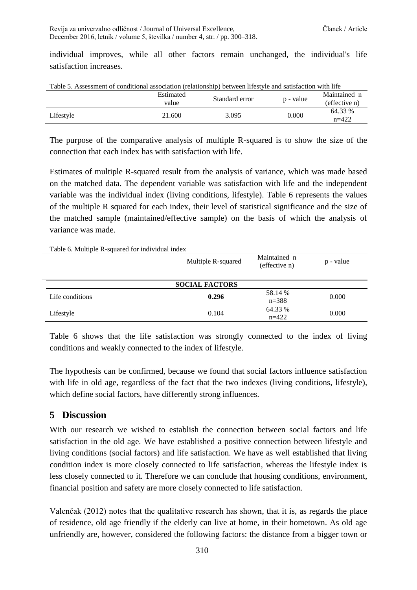Revija za univerzalno odličnost / Journal of Universal Excellence, Članek / Article December 2016, letnik / volume 5, številka / number 4, str. / pp. 300–318.

individual improves, while all other factors remain unchanged, the individual's life satisfaction increases.

| Table 5. Assessment of conditional association (relationship) between mestyle and satisfaction with me |                |       |                    |  |
|--------------------------------------------------------------------------------------------------------|----------------|-------|--------------------|--|
| Estimated                                                                                              | Standard error |       | Maintained n       |  |
| value                                                                                                  |                |       | (effective n)      |  |
| 21.600                                                                                                 | 3.095          | 0.000 | 64.33 %<br>$n=422$ |  |
|                                                                                                        |                |       | p - value          |  |

Table 5. Assessment of conditional association (relationship) between lifestyle and satisfaction with life

The purpose of the comparative analysis of multiple R-squared is to show the size of the connection that each index has with satisfaction with life.

Estimates of multiple R-squared result from the analysis of variance, which was made based on the matched data. The dependent variable was satisfaction with life and the independent variable was the individual index (living conditions, lifestyle). Table 6 represents the values of the multiple R squared for each index, their level of statistical significance and the size of the matched sample (maintained/effective sample) on the basis of which the analysis of variance was made.

Table 6. Multiple R-squared for individual index

|                 | Multiple R-squared    | Maintained n<br>(effective n) | p - value |
|-----------------|-----------------------|-------------------------------|-----------|
|                 | <b>SOCIAL FACTORS</b> |                               |           |
| Life conditions | 0.296                 | 58.14 %<br>$n = 388$          | 0.000     |
| Lifestyle       | 0.104                 | 64.33 %<br>$n=422$            | 0.000     |

Table 6 shows that the life satisfaction was strongly connected to the index of living conditions and weakly connected to the index of lifestyle.

The hypothesis can be confirmed, because we found that social factors influence satisfaction with life in old age, regardless of the fact that the two indexes (living conditions, lifestyle), which define social factors, have differently strong influences.

### **5 Discussion**

With our research we wished to establish the connection between social factors and life satisfaction in the old age. We have established a positive connection between lifestyle and living conditions (social factors) and life satisfaction. We have as well established that living condition index is more closely connected to life satisfaction, whereas the lifestyle index is less closely connected to it. Therefore we can conclude that housing conditions, environment, financial position and safety are more closely connected to life satisfaction.

Valenčak (2012) notes that the qualitative research has shown, that it is, as regards the place of residence, old age friendly if the elderly can live at home, in their hometown. As old age unfriendly are, however, considered the following factors: the distance from a bigger town or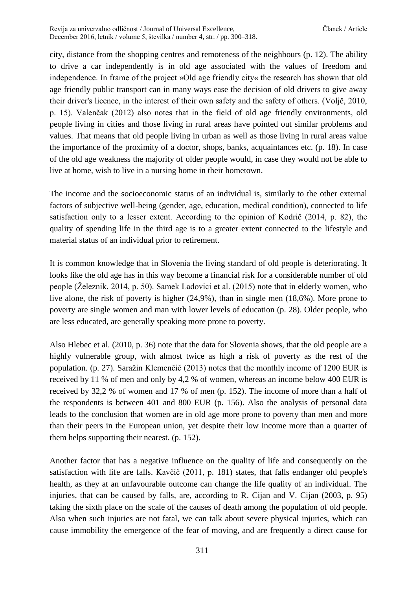city, distance from the shopping centres and remoteness of the neighbours (p. 12). The ability to drive a car independently is in old age associated with the values of freedom and independence. In frame of the project »Old age friendly city« the research has shown that old age friendly public transport can in many ways ease the decision of old drivers to give away their driver's licence, in the interest of their own safety and the safety of others. (Voljč, 2010, p. 15). Valenčak (2012) also notes that in the field of old age friendly environments, old people living in cities and those living in rural areas have pointed out similar problems and values. That means that old people living in urban as well as those living in rural areas value the importance of the proximity of a doctor, shops, banks, acquaintances etc. (p. 18). In case of the old age weakness the majority of older people would, in case they would not be able to live at home, wish to live in a nursing home in their hometown.

The income and the socioeconomic status of an individual is, similarly to the other external factors of subjective well-being (gender, age, education, medical condition), connected to life satisfaction only to a lesser extent. According to the opinion of Kodrič (2014, p. 82), the quality of spending life in the third age is to a greater extent connected to the lifestyle and material status of an individual prior to retirement.

It is common knowledge that in Slovenia the living standard of old people is deteriorating. It looks like the old age has in this way become a financial risk for a considerable number of old people (Železnik, 2014, p. 50). Samek Ladovici et al. (2015) note that in elderly women, who live alone, the risk of poverty is higher (24,9%), than in single men (18,6%). More prone to poverty are single women and man with lower levels of education (p. 28). Older people, who are less educated, are generally speaking more prone to poverty.

Also Hlebec et al. (2010, p. 36) note that the data for Slovenia shows, that the old people are a highly vulnerable group, with almost twice as high a risk of poverty as the rest of the population. (p. 27). Saražin Klemenčič (2013) notes that the monthly income of 1200 EUR is received by 11 % of men and only by 4,2 % of women, whereas an income below 400 EUR is received by 32,2 % of women and 17 % of men (p. 152). The income of more than a half of the respondents is between 401 and 800 EUR (p. 156). Also the analysis of personal data leads to the conclusion that women are in old age more prone to poverty than men and more than their peers in the European union, yet despite their low income more than a quarter of them helps supporting their nearest. (p. 152).

Another factor that has a negative influence on the quality of life and consequently on the satisfaction with life are falls. Kavčič (2011, p. 181) states, that falls endanger old people's health, as they at an unfavourable outcome can change the life quality of an individual. The injuries, that can be caused by falls, are, according to R. Cijan and V. Cijan (2003, p. 95) taking the sixth place on the scale of the causes of death among the population of old people. Also when such injuries are not fatal, we can talk about severe physical injuries, which can cause immobility the emergence of the fear of moving, and are frequently a direct cause for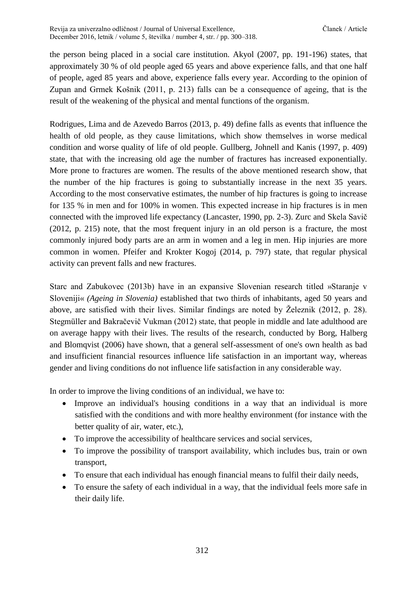the person being placed in a social care institution. Akyol (2007, pp. 191-196) states, that approximately 30 % of old people aged 65 years and above experience falls, and that one half of people, aged 85 years and above, experience falls every year. According to the opinion of Zupan and Grmek Košnik (2011, p. 213) falls can be a consequence of ageing, that is the result of the weakening of the physical and mental functions of the organism.

Rodrigues, Lima and de Azevedo Barros (2013, p. 49) define falls as events that influence the health of old people, as they cause limitations, which show themselves in worse medical condition and worse quality of life of old people. Gullberg, Johnell and Kanis (1997, p. 409) state, that with the increasing old age the number of fractures has increased exponentially. More prone to fractures are women. The results of the above mentioned research show, that the number of the hip fractures is going to substantially increase in the next 35 years. According to the most conservative estimates, the number of hip fractures is going to increase for 135 % in men and for 100% in women. This expected increase in hip fractures is in men connected with the improved life expectancy (Lancaster, 1990, pp. 2-3). Zurc and Skela Savič (2012, p. 215) note, that the most frequent injury in an old person is a fracture, the most commonly injured body parts are an arm in women and a leg in men. Hip injuries are more common in women. Pfeifer and Krokter Kogoj (2014, p. 797) state, that regular physical activity can prevent falls and new fractures.

Starc and Zabukovec (2013b) have in an expansive Slovenian research titled »Staranje v Sloveniji« *(Ageing in Slovenia)* established that two thirds of inhabitants, aged 50 years and above, are satisfied with their lives. Similar findings are noted by Železnik (2012, p. 28). Stegmüller and Bakračevič Vukman (2012) state, that people in middle and late adulthood are on average happy with their lives. The results of the research, conducted by Borg, Halberg and Blomqvist (2006) have shown, that a general self-assessment of one's own health as bad and insufficient financial resources influence life satisfaction in an important way, whereas gender and living conditions do not influence life satisfaction in any considerable way.

In order to improve the living conditions of an individual, we have to:

- Improve an individual's housing conditions in a way that an individual is more satisfied with the conditions and with more healthy environment (for instance with the better quality of air, water, etc.),
- To improve the accessibility of healthcare services and social services,
- To improve the possibility of transport availability, which includes bus, train or own transport,
- To ensure that each individual has enough financial means to fulfil their daily needs,
- To ensure the safety of each individual in a way, that the individual feels more safe in their daily life.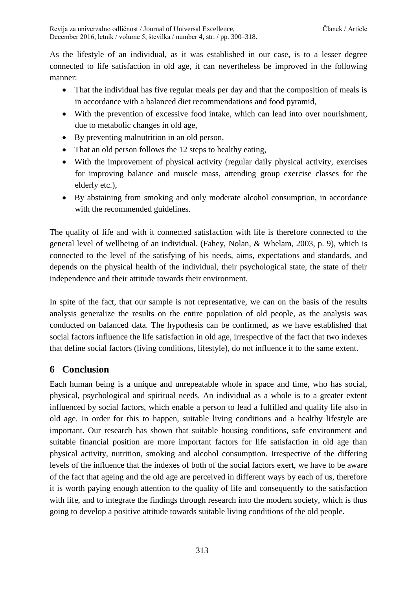As the lifestyle of an individual, as it was established in our case, is to a lesser degree connected to life satisfaction in old age, it can nevertheless be improved in the following manner:

- That the individual has five regular meals per day and that the composition of meals is in accordance with a balanced diet recommendations and food pyramid,
- With the prevention of excessive food intake, which can lead into over nourishment, due to metabolic changes in old age,
- By preventing malnutrition in an old person,
- That an old person follows the 12 steps to healthy eating,
- With the improvement of physical activity (regular daily physical activity, exercises for improving balance and muscle mass, attending group exercise classes for the elderly etc.),
- By abstaining from smoking and only moderate alcohol consumption, in accordance with the recommended guidelines.

The quality of life and with it connected satisfaction with life is therefore connected to the general level of wellbeing of an individual. (Fahey, Nolan, & Whelam, 2003, p. 9), which is connected to the level of the satisfying of his needs, aims, expectations and standards, and depends on the physical health of the individual, their psychological state, the state of their independence and their attitude towards their environment.

In spite of the fact, that our sample is not representative, we can on the basis of the results analysis generalize the results on the entire population of old people, as the analysis was conducted on balanced data. The hypothesis can be confirmed, as we have established that social factors influence the life satisfaction in old age, irrespective of the fact that two indexes that define social factors (living conditions, lifestyle), do not influence it to the same extent.

## **6 Conclusion**

Each human being is a unique and unrepeatable whole in space and time, who has social, physical, psychological and spiritual needs. An individual as a whole is to a greater extent influenced by social factors, which enable a person to lead a fulfilled and quality life also in old age. In order for this to happen, suitable living conditions and a healthy lifestyle are important. Our research has shown that suitable housing conditions, safe environment and suitable financial position are more important factors for life satisfaction in old age than physical activity, nutrition, smoking and alcohol consumption. Irrespective of the differing levels of the influence that the indexes of both of the social factors exert, we have to be aware of the fact that ageing and the old age are perceived in different ways by each of us, therefore it is worth paying enough attention to the quality of life and consequently to the satisfaction with life, and to integrate the findings through research into the modern society, which is thus going to develop a positive attitude towards suitable living conditions of the old people.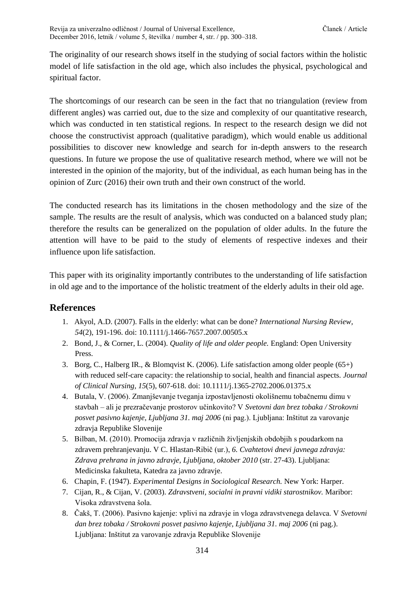The originality of our research shows itself in the studying of social factors within the holistic model of life satisfaction in the old age, which also includes the physical, psychological and spiritual factor.

The shortcomings of our research can be seen in the fact that no triangulation (review from different angles) was carried out, due to the size and complexity of our quantitative research, which was conducted in ten statistical regions. In respect to the research design we did not choose the constructivist approach (qualitative paradigm), which would enable us additional possibilities to discover new knowledge and search for in-depth answers to the research questions. In future we propose the use of qualitative research method, where we will not be interested in the opinion of the majority, but of the individual, as each human being has in the opinion of Zurc (2016) their own truth and their own construct of the world.

The conducted research has its limitations in the chosen methodology and the size of the sample. The results are the result of analysis, which was conducted on a balanced study plan; therefore the results can be generalized on the population of older adults. In the future the attention will have to be paid to the study of elements of respective indexes and their influence upon life satisfaction.

This paper with its originality importantly contributes to the understanding of life satisfaction in old age and to the importance of the holistic treatment of the elderly adults in their old age.

### **References**

- 1. Akyol, A.D. (2007). Falls in the elderly: what can be done? *International Nursing Review, 54*(2), 191-196. doi: 10.1111/j.1466-7657.2007.00505.x
- 2. Bond, J., & Corner, L. (2004). *Quality of life and older people.* England: Open University Press.
- 3. Borg, C., Halberg IR., & Blomqvist K. (2006). Life satisfaction among older people  $(65+)$ with reduced self-care capacity: the relationship to social, health and financial aspects. *Journal of Clinical Nursing, 15*(5), 607-618. doi: 10.1111/j.1365-2702.2006.01375.x
- 4. Butala, V. (2006). Zmanjševanje tveganja izpostavljenosti okolišnemu tobačnemu dimu v stavbah – ali je prezračevanje prostorov učinkovito? V *Svetovni dan brez tobaka / Strokovni posvet pasivno kajenje, Ljubljana 31. maj 2006* (ni pag.). Ljubljana: Inštitut za varovanje zdravja Republike Slovenije
- 5. Bilban, M. (2010). Promocija zdravja v različnih življenjskih obdobjih s poudarkom na zdravem prehranjevanju. V C. Hlastan-Ribič (ur.), *6. Cvahtetovi dnevi javnega zdravja: Zdrava prehrana in javno zdravje, Ljubljana, oktober 2010* (str. 27-43). Ljubljana: Medicinska fakulteta, Katedra za javno zdravje.
- 6. Chapin, F. (1947). *Experimental Designs in Sociological Research.* New York: Harper.
- 7. Cijan, R., & Cijan, V. (2003). *Zdravstveni, socialni in pravni vidiki starostnikov.* Maribor: Visoka zdravstvena šola.
- 8. Čakš, T. (2006). Pasivno kajenje: vplivi na zdravje in vloga zdravstvenega delavca. V *Svetovni dan brez tobaka / Strokovni posvet pasivno kajenje, Ljubljana 31. maj 2006* (ni pag.). Ljubljana: Inštitut za varovanje zdravja Republike Slovenije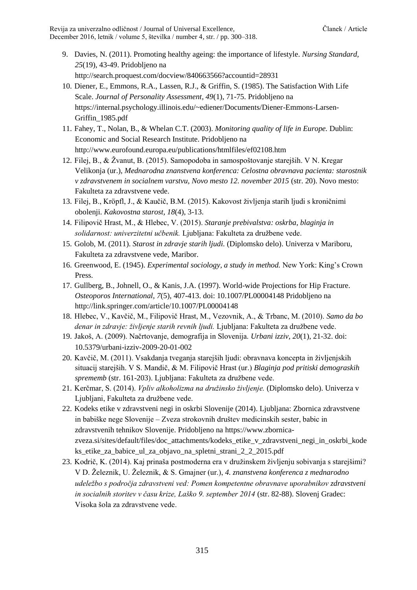Revija za univerzalno odličnost / Journal of Universal Excellence, Članek / Article December 2016, letnik / volume 5, številka / number 4, str. / pp. 300–318.

- 9. Davies, N. (2011). Promoting healthy ageing: the importance of lifestyle. *Nursing Standard, 25*(19), 43-49. Pridobljeno na http://search.proquest.com/docview/840663566?accountid=28931
- 10. Diener, E., Emmons, R.A., Lassen, R.J., & Griffin, S. (1985). The Satisfaction With Life Scale. *Journal of Personality Assessment, 49*(1), 71-75. Pridobljeno na https://internal.psychology.illinois.edu/~ediener/Documents/Diener-Emmons-Larsen-Griffin\_1985.pdf
- 11. Fahey, T., Nolan, B., & Whelan C.T. (2003). *Monitoring quality of life in Europe.* Dublin: Economic and Social Research Institute. Pridobljeno na http://www.eurofound.europa.eu/publications/htmlfiles/ef02108.htm
- 12. Filej, B., & Žvanut, B. (2015). Samopodoba in samospoštovanje starejših. V N. Kregar Velikonja (ur.), *Mednarodna znanstvena konferenca: Celostna obravnava pacienta: starostnik v zdravstvenem in socialnem varstvu, Novo mesto 12. november 2015* (str. 20). Novo mesto: Fakulteta za zdravstvene vede.
- 13. Filej, B., Kröpfl, J., & Kaučič, B.M. (2015). Kakovost življenja starih ljudi s kroničnimi obolenji. *Kakovostna starost, 18*(4), 3-13.
- 14. Filipovič Hrast, M., & Hlebec, V. (2015). *Staranje prebivalstva: oskrba, blaginja in solidarnost: univerzitetni učbenik.* Ljubljana: Fakulteta za družbene vede.
- 15. Golob, M. (2011). *Starost in zdravje starih ljudi.* (Diplomsko delo). Univerza v Mariboru, Fakulteta za zdravstvene vede, Maribor.
- 16. Greenwood, E. (1945). *Experimental sociology, a study in method.* New York: King's Crown Press.
- 17. Gullberg, B., Johnell, O., & Kanis, J.A. (1997). World-wide Projections for Hip Fracture. *Osteoporos International, 7*(5), 407-413. doi: 10.1007/PL00004148 Pridobljeno na http://link.springer.com/article/10.1007/PL00004148
- 18. Hlebec, V., Kavčič, M., Filipovič Hrast, M., Vezovnik, A., & Trbanc, M. (2010). *Samo da bo denar in zdravje: življenje starih revnih ljudi.* Ljubljana: Fakulteta za družbene vede.
- 19. Jakoš, A. (2009). Načrtovanje, demografija in Slovenija. *Urbani izziv, 20*(1), 21-32. doi: 10.5379/urbani-izziv-2009-20-01-002
- 20. Kavčič, M. (2011). Vsakdanja tveganja starejših ljudi: obravnava koncepta in življenjskih situacij starejših. V S. Mandič, & M. Filipovič Hrast (ur.) *Blaginja pod pritiski demograskih sprememb* (str. 161-203). Ljubljana: Fakulteta za družbene vede.
- 21. Kerčmar, S. (2014). *Vpliv alkoholizma na družinsko življenje.* (Diplomsko delo). Univerza v Ljubljani, Fakulteta za družbene vede.
- 22. Kodeks etike v zdravstveni negi in oskrbi Slovenije (2014). Ljubljana: Zbornica zdravstvene in babiške nege Slovenije – Zveza strokovnih društev medicinskih sester, babic in zdravstvenih tehnikov Slovenije. Pridobljeno na https://www.zbornicazveza.si/sites/default/files/doc\_attachments/kodeks\_etike\_v\_zdravstveni\_negi\_in\_oskrbi\_kode ks\_etike\_za\_babice\_ul\_za\_objavo\_na\_spletni\_strani\_2\_2\_2015.pdf
- 23. Kodrič, K. (2014). Kaj prinaša postmoderna era v družinskem življenju sobivanja s starejšimi? V D. Železnik, U. Železnik, & S. Gmajner (ur.), *4. znanstvena konferenca z mednarodno udeležbo s področja zdravstveni ved: Pomen kompetentne obravnave uporabnikov zdravstveni in socialnih storitev v času krize, Laško 9. september 2014* (str. 82-88). Slovenj Gradec: Visoka šola za zdravstvene vede.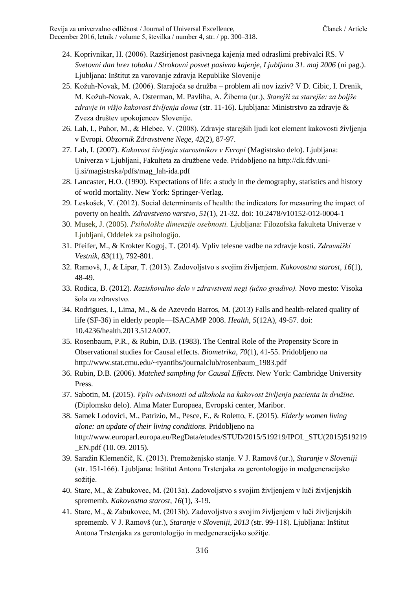- 24. Koprivnikar, H. (2006). Razširjenost pasivnega kajenja med odraslimi prebivalci RS. V *Svetovni dan brez tobaka / Strokovni posvet pasivno kajenje, Ljubljana 31. maj 2006* (ni pag.). Ljubljana: Inštitut za varovanje zdravja Republike Slovenije
- 25. Kožuh-Novak, M. (2006). Starajoča se družba problem ali nov izziv? V D. Cibic, I. Drenik, M. Kožuh-Novak, A. Osterman, M. Pavliha, A. Žiberna (ur.), *Starejši za starejše: za boljše zdravje in višjo kakovost življenja doma* (str. 11-16). Ljubljana: Ministrstvo za zdravje & Zveza društev upokojencev Slovenije.
- 26. Lah, I., Pahor, M., & Hlebec, V. (2008). Zdravje starejših ljudi kot element kakovosti življenja v Evropi. *Obzornik Zdravstvene Nege, 42*(2), 87-97.
- 27. Lah, I. (2007). *Kakovost življenja starostnikov v Evropi* (Magistrsko delo). Ljubljana: Univerza v Ljubljani, Fakulteta za družbene vede. Pridobljeno na http://dk.fdv.unilj.si/magistrska/pdfs/mag\_lah-ida.pdf
- 28. Lancaster, H.O. (1990). Expectations of life: a study in the demography, statistics and history of world mortality. New York: Springer-Verlag.
- 29. Leskošek, V. (2012). Social determinants of health: the indicators for measuring the impact of poverty on health. *Zdravstveno varstvo, 51*(1), 21-32. doi: 10.2478/v10152-012-0004-1
- 30. Musek, J. (2005). *Psihološke dimenzije osebnosti.* Ljubljana: Filozofska fakulteta Univerze v Ljubljani, Oddelek za psihologijo.
- 31. Pfeifer, M., & Krokter Kogoj, T. (2014). Vpliv telesne vadbe na zdravje kosti. *Zdravniški Vestnik, 83*(11), 792-801.
- 32. Ramovš, J., & Lipar, T. (2013). Zadovoljstvo s svojim življenjem. *Kakovostna starost, 16*(1), 48-49.
- 33. Rodica, B. (2012). *Raziskovalno delo v zdravstveni negi (učno gradivo).* Novo mesto: Visoka šola za zdravstvo.
- 34. Rodrigues, I., Lima, M., & de Azevedo Barros, M. (2013) Falls and health-related quality of life (SF-36) in elderly people—ISACAMP 2008. *Health*, *5*(12A), 49-57. doi: [10.4236/health.2013.512A007.](http://dx.doi.org/10.4236/health.2013.512A007)
- 35. Rosenbaum, P.R., & Rubin, D.B. (1983). The Central Role of the Propensity Score in Observational studies for Causal effects. *Biometrika, 70*(1), 41-55. Pridobljeno na http://www.stat.cmu.edu/~ryantibs/journalclub/rosenbaum\_1983.pdf
- 36. Rubin, D.B. (2006). *Matched sampling for Causal Effects.* New York: Cambridge University Press.
- 37. Sabotin, M. (2015). *Vpliv odvisnosti od alkohola na kakovost življenja pacienta in družine.*  (Diplomsko delo). Alma Mater Europaea, Evropski center, Maribor.
- 38. Samek Lodovici, M., Patrizio, M., Pesce, F., & Roletto, E. (2015). *Elderly women living alone: an update of their living conditions.* Pridobljeno na http://www.europarl.europa.eu/RegData/etudes/STUD/2015/519219/IPOL\_STU(2015)519219 \_EN.pdf (10. 09. 2015).
- 39. Saražin Klemenčič, K. (2013). Premoženjsko stanje. V J. Ramovš (ur.), *Staranje v Sloveniji*  (str. 151-166). Ljubljana: Inštitut Antona Trstenjaka za gerontologijo in medgeneracijsko sožitie.
- 40. Starc, M., & Zabukovec, M. (2013a). Zadovoljstvo s svojim življenjem v luči življenjskih sprememb. *Kakovostna starost, 16*(1), 3-19.
- 41. Starc, M., & Zabukovec, M. (2013b). Zadovoljstvo s svojim življenjem v luči življenjskih sprememb. V J. Ramovš (ur.), *Staranje v Sloveniji, 2013* (str. 99-118). Ljubljana: Inštitut Antona Trstenjaka za gerontologijo in medgeneracijsko sožitje.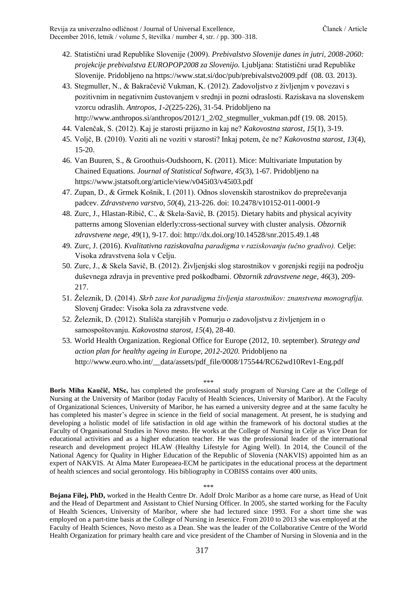- 42. Statistični urad Republike Slovenije (2009). *Prebivalstvo Slovenije danes in jutri, 2008-2060: projekcije prebivalstva EUROPOP2008 za Slovenijo.* Ljubljana: Statistični urad Republike Slovenije. Pridobljeno na https://www.stat.si/doc/pub/prebivalstvo2009.pdf (08. 03. 2013).
- 43. Stegmuller, N., & Bakračevič Vukman, K. (2012). Zadovoljstvo z življenjm v povezavi s pozitivnim in negativnim čustovanjem v srednji in pozni odraslosti. Raziskava na slovenskem vzorcu odraslih. *Antropos, 1-2*(225-226), 31-54. Pridobljeno na http://www.anthropos.si/anthropos/2012/1\_2/02\_stegmuller\_vukman.pdf (19. 08. 2015).
- 44. Valenčak, S. (2012). Kaj je starosti prijazno in kaj ne? *Kakovostna starost, 15*(1), 3-19.
- 45. Voljč, B. (2010). Voziti ali ne voziti v starosti? Inkaj potem, če ne? *Kakovostna starost, 13*(4), 15-20.
- 46. Van Buuren, S., & Groothuis-Oudshoorn, K. (2011). Mice: Multivariate Imputation by Chained Equations. *Journal of Statistical Software, 45*(3), 1-67. Pridobljeno na https://www.jstatsoft.org/article/view/v045i03/v45i03.pdf
- 47. Zupan, D., & Grmek Košnik, I. (2011). Odnos slovenskih starostnikov do preprečevanja padcev. *Zdravstveno varstvo, 50*(4), 213-226. doi: 10.2478/v10152-011-0001-9
- 48. Zurc, J., Hlastan-Ribič, C., & Skela-Savič, B. (2015). Dietary habits and physical acyivity patterns among Slovenian elderly:cross-sectional survey with cluster analysis. *Obzornik zdravstvene nege, 49*(1), 9-17. doi: http://dx.doi.org/10.14528/snr.2015.49.1.48
- 49. Zurc, J. (2016). *Kvalitativna raziskovalna paradigma v raziskovanju (učno gradivo).* Celje: Visoka zdravstvena šola v Celju.
- 50. Zurc, J., & Skela Savič, B. (2012). Življenjski slog starostnikov v gorenjski regiji na področju duševnega zdravja in preventive pred poškodbami. *Obzornik zdravstvene nege, 46*(3), 209- 217.
- 51. Železnik, D. (2014). *Skrb zase kot paradigma življenja starostnikov: znanstvena monografija.* Slovenj Gradec: Visoka šola za zdravstvene vede.
- 52. Železnik, D. (2012). Stališča starejših v Pomurju o zadovoljstvu z življenjem in o samospoštovanju. *Kakovostna starost, 15*(4), 28-40.
- 53. World Health Organization. Regional Office for Europe (2012, 10. september). *Strategy and action plan for healthy ageing in Europe, 2012-2020.* Pridobljeno na http://www.euro.who.int/ data/assets/pdf\_file/0008/175544/RC62wd10Rev1-Eng.pdf

\*\*\*

**Boris Miha Kaučič, MSc,** has completed the professional study program of Nursing Care at the College of Nursing at the University of Maribor (today Faculty of Health Sciences, University of Maribor). At the Faculty of Organizational Sciences, University of Maribor, he has earned a university degree and at the same faculty he has completed his master's degree in science in the field of social management. At present, he is studying and developing a holistic model of life satisfaction in old age within the framework of his doctoral studies at the Faculty of Organisational Studies in Novo mesto. He works at the College of Nursing in Celje as Vice Dean for educational activities and as a higher education teacher. He was the professional leader of the international research and development project HLAW (Healthy Lifestyle for Aging Well). In 2014, the Council of the National Agency for Quality in Higher Education of the Republic of Slovenia (NAKVIS) appointed him as an expert of NAKVIS. At Alma Mater Europeaea-ECM he participates in the educational process at the department of health sciences and social gerontology. His bibliography in COBISS contains over 400 units.

\*\*\*

**Bojana Filej, PhD,** worked in the Health Centre Dr. Adolf Drolc Maribor as a home care nurse, as Head of Unit and the Head of Department and Assistant to Chief Nursing Officer. In 2005, she started working for the Faculty of Health Sciences, University of Maribor, where she had lectured since 1993. For a short time she was employed on a part-time basis at the College of Nursing in Jesenice. From 2010 to 2013 she was employed at the Faculty of Health Sciences, Novo mesto as a Dean. She was the leader of the Collaborative Centre of the World Health Organization for primary health care and vice president of the Chamber of Nursing in Slovenia and in the